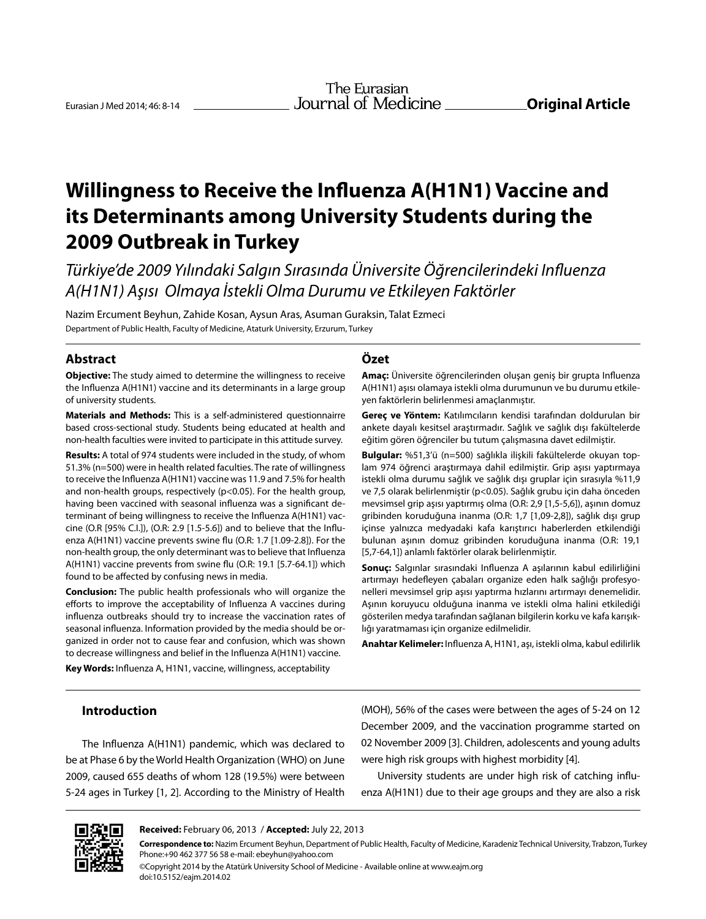# **Willingness to Receive the Influenza A(H1N1) Vaccine and its Determinants among University Students during the 2009 Outbreak in Turkey**

*Türkiye'de 2009 Yılındaki Salgın Sırasında Üniversite Öğrencilerindeki Influenza A(H1N1) Aşısı Olmaya İstekli Olma Durumu ve Etkileyen Faktörler*

Nazim Ercument Beyhun, Zahide Kosan, Aysun Aras, Asuman Guraksin, Talat Ezmeci Department of Public Health, Faculty of Medicine, Ataturk University, Erzurum, Turkey

# **Abstract**

**Objective:** The study aimed to determine the willingness to receive the Influenza A(H1N1) vaccine and its determinants in a large group of university students.

**Materials and Methods:** This is a self-administered questionnairre based cross-sectional study. Students being educated at health and non-health faculties were invited to participate in this attitude survey.

**Results:** A total of 974 students were included in the study, of whom 51.3% (n=500) were in health related faculties. The rate of willingness to receive the Influenza A(H1N1) vaccine was 11.9 and 7.5% for health and non-health groups, respectively (p<0.05). For the health group, having been vaccined with seasonal influenza was a significant determinant of being willingness to receive the Influenza A(H1N1) vaccine (O.R [95% C.I.]), (O.R: 2.9 [1.5-5.6]) and to believe that the Influenza A(H1N1) vaccine prevents swine flu (O.R: 1.7 [1.09-2.8]). For the non-health group, the only determinant was to believe that Influenza A(H1N1) vaccine prevents from swine flu (O.R: 19.1 [5.7-64.1]) which found to be affected by confusing news in media.

**Conclusion:** The public health professionals who will organize the efforts to improve the acceptability of Influenza A vaccines during influenza outbreaks should try to increase the vaccination rates of seasonal influenza. Information provided by the media should be organized in order not to cause fear and confusion, which was shown to decrease willingness and belief in the Influenza A(H1N1) vaccine.

**Key Words:** Influenza A, H1N1, vaccine, willingness, acceptability

# **Özet**

**Amaç:** Üniversite öğrencilerinden oluşan geniş bir grupta Influenza A(H1N1) aşısı olamaya istekli olma durumunun ve bu durumu etkileyen faktörlerin belirlenmesi amaçlanmıştır.

**Gereç ve Yöntem:** Katılımcıların kendisi tarafından doldurulan bir ankete dayalı kesitsel araştırmadır. Sağlık ve sağlık dışı fakültelerde eğitim gören öğrenciler bu tutum çalışmasına davet edilmiştir.

**Bulgular:** %51,3'ü (n=500) sağlıkla ilişkili fakültelerde okuyan toplam 974 öğrenci araştırmaya dahil edilmiştir. Grip aşısı yaptırmaya istekli olma durumu sağlık ve sağlık dışı gruplar için sırasıyla %11,9 ve 7,5 olarak belirlenmiştir (p<0.05). Sağlık grubu için daha önceden mevsimsel grip aşısı yaptırmış olma (O.R: 2,9 [1,5-5,6]), aşının domuz gribinden koruduğuna inanma (O.R: 1,7 [1,09-2,8]), sağlık dışı grup içinse yalnızca medyadaki kafa karıştırıcı haberlerden etkilendiği bulunan aşının domuz gribinden koruduğuna inanma (O.R: 19,1 [5,7-64,1]) anlamlı faktörler olarak belirlenmiştir.

**Sonuç:** Salgınlar sırasındaki Influenza A aşılarının kabul edilirliğini artırmayı hedefleyen çabaları organize eden halk sağlığı profesyonelleri mevsimsel grip aşısı yaptırma hızlarını artırmayı denemelidir. Aşının koruyucu olduğuna inanma ve istekli olma halini etkilediği gösterilen medya tarafından sağlanan bilgilerin korku ve kafa karışıklığı yaratmaması için organize edilmelidir.

**Anahtar Kelimeler:** Influenza A, H1N1, aşı, istekli olma, kabul edilirlik

# **Introduction**

The Influenza A(H1N1) pandemic, which was declared to be at Phase 6 by the World Health Organization (WHO) on June 2009, caused 655 deaths of whom 128 (19.5%) were between 5-24 ages in Turkey [1, 2]. According to the Ministry of Health

(MOH), 56% of the cases were between the ages of 5-24 on 12 December 2009, and the vaccination programme started on 02 November 2009 [3]. Children, adolescents and young adults were high risk groups with highest morbidity [4].

University students are under high risk of catching influenza A(H1N1) due to their age groups and they are also a risk



**Received:** February 06, 2013 / **Accepted:** July 22, 2013

©Copyright 2014 by the Atatürk University School of Medicine - Available online at www.eajm.org doi:10.5152/eajm.2014.02

**Correspondence to:** Nazim Ercument Beyhun, Department of Public Health, Faculty of Medicine, Karadeniz Technical University, Trabzon, Turkey Phone:+90 462 377 56 58 e-mail: ebeyhun@yahoo.com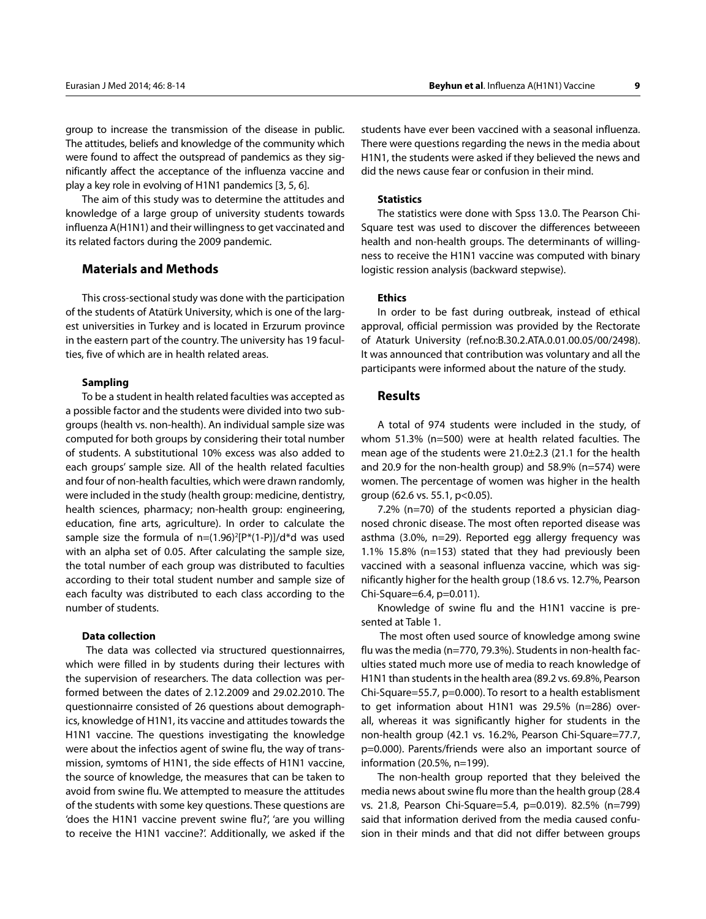group to increase the transmission of the disease in public. The attitudes, beliefs and knowledge of the community which were found to affect the outspread of pandemics as they significantly affect the acceptance of the influenza vaccine and play a key role in evolving of H1N1 pandemics [3, 5, 6].

The aim of this study was to determine the attitudes and knowledge of a large group of university students towards influenza A(H1N1) and their willingness to get vaccinated and its related factors during the 2009 pandemic.

# **Materials and Methods**

This cross-sectional study was done with the participation of the students of Atatürk University, which is one of the largest universities in Turkey and is located in Erzurum province in the eastern part of the country. The university has 19 faculties, five of which are in health related areas.

### **Sampling**

To be a student in health related faculties was accepted as a possible factor and the students were divided into two subgroups (health vs. non-health). An individual sample size was computed for both groups by considering their total number of students. A substitutional 10% excess was also added to each groups' sample size. All of the health related faculties and four of non-health faculties, which were drawn randomly, were included in the study (health group: medicine, dentistry, health sciences, pharmacy; non-health group: engineering, education, fine arts, agriculture). In order to calculate the sample size the formula of  $n=(1.96)^{2}[P^{*}(1-P)]/d^{*}d$  was used with an alpha set of 0.05. After calculating the sample size, the total number of each group was distributed to faculties according to their total student number and sample size of each faculty was distributed to each class according to the number of students.

#### **Data collection**

 The data was collected via structured questionnairres, which were filled in by students during their lectures with the supervision of researchers. The data collection was performed between the dates of 2.12.2009 and 29.02.2010. The questionnairre consisted of 26 questions about demographics, knowledge of H1N1, its vaccine and attitudes towards the H1N1 vaccine. The questions investigating the knowledge were about the infectios agent of swine flu, the way of transmission, symtoms of H1N1, the side effects of H1N1 vaccine, the source of knowledge, the measures that can be taken to avoid from swine flu. We attempted to measure the attitudes of the students with some key questions. These questions are 'does the H1N1 vaccine prevent swine flu?', 'are you willing to receive the H1N1 vaccine?'. Additionally, we asked if the

students have ever been vaccined with a seasonal influenza. There were questions regarding the news in the media about H1N1, the students were asked if they believed the news and did the news cause fear or confusion in their mind.

#### **Statistics**

The statistics were done with Spss 13.0. The Pearson Chi-Square test was used to discover the differences betweeen health and non-health groups. The determinants of willingness to receive the H1N1 vaccine was computed with binary logistic ression analysis (backward stepwise).

## **Ethics**

In order to be fast during outbreak, instead of ethical approval, official permission was provided by the Rectorate of Ataturk University (ref.no:B.30.2.ATA.0.01.00.05/00/2498). It was announced that contribution was voluntary and all the participants were informed about the nature of the study.

## **Results**

A total of 974 students were included in the study, of whom 51.3% (n=500) were at health related faculties. The mean age of the students were 21.0±2.3 (21.1 for the health and 20.9 for the non-health group) and 58.9% (n=574) were women. The percentage of women was higher in the health group (62.6 vs. 55.1, p<0.05).

7.2% (n=70) of the students reported a physician diagnosed chronic disease. The most often reported disease was asthma (3.0%, n=29). Reported egg allergy frequency was 1.1% 15.8% (n=153) stated that they had previously been vaccined with a seasonal influenza vaccine, which was significantly higher for the health group (18.6 vs. 12.7%, Pearson Chi-Square=6.4, p=0.011).

Knowledge of swine flu and the H1N1 vaccine is presented at Table 1.

 The most often used source of knowledge among swine flu was the media (n=770, 79.3%). Students in non-health faculties stated much more use of media to reach knowledge of H1N1 than students in the health area (89.2 vs. 69.8%, Pearson Chi-Square=55.7, p=0.000). To resort to a health establisment to get information about H1N1 was 29.5% (n=286) overall, whereas it was significantly higher for students in the non-health group (42.1 vs. 16.2%, Pearson Chi-Square=77.7, p=0.000). Parents/friends were also an important source of information (20.5%, n=199).

The non-health group reported that they beleived the media news about swine flu more than the health group (28.4 vs. 21.8, Pearson Chi-Square=5.4, p=0.019). 82.5% (n=799) said that information derived from the media caused confusion in their minds and that did not differ between groups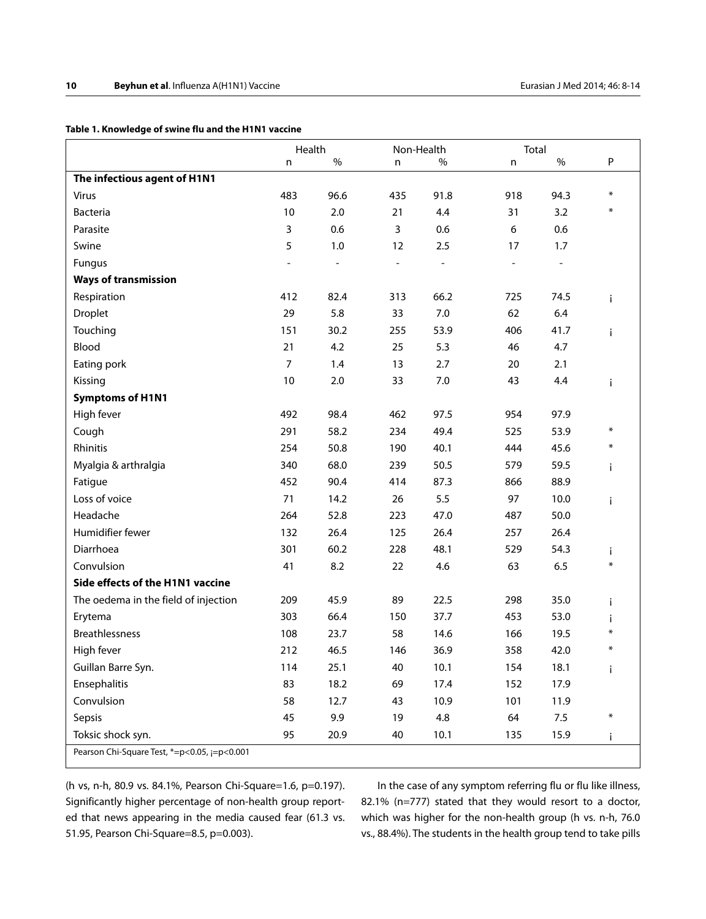# **Table 1. Knowledge of swine flu and the H1N1 vaccine**

|                                              | Health |                | Non-Health               |      | Total |                |              |
|----------------------------------------------|--------|----------------|--------------------------|------|-------|----------------|--------------|
|                                              | n      | $\%$           | n                        | %    | n     | $\%$           | P            |
| The infectious agent of H1N1                 |        |                |                          |      |       |                |              |
| <b>Virus</b>                                 | 483    | 96.6           | 435                      | 91.8 | 918   | 94.3           | $\ast$       |
| <b>Bacteria</b>                              | 10     | 2.0            | 21                       | 4.4  | 31    | 3.2            | ∗            |
| Parasite                                     | 3      | 0.6            | 3                        | 0.6  | 6     | 0.6            |              |
| Swine                                        | 5      | 1.0            | 12                       | 2.5  | 17    | 1.7            |              |
| Fungus                                       |        | $\overline{a}$ | $\overline{\phantom{a}}$ | ÷,   |       | $\overline{a}$ |              |
| <b>Ways of transmission</b>                  |        |                |                          |      |       |                |              |
| Respiration                                  | 412    | 82.4           | 313                      | 66.2 | 725   | 74.5           | i            |
| <b>Droplet</b>                               | 29     | 5.8            | 33                       | 7.0  | 62    | 6.4            |              |
| Touching                                     | 151    | 30.2           | 255                      | 53.9 | 406   | 41.7           | i            |
| Blood                                        | 21     | 4.2            | 25                       | 5.3  | 46    | 4.7            |              |
| Eating pork                                  | 7      | 1.4            | 13                       | 2.7  | 20    | 2.1            |              |
| Kissing                                      | 10     | 2.0            | 33                       | 7.0  | 43    | 4.4            | i            |
| <b>Symptoms of H1N1</b>                      |        |                |                          |      |       |                |              |
| High fever                                   | 492    | 98.4           | 462                      | 97.5 | 954   | 97.9           |              |
| Cough                                        | 291    | 58.2           | 234                      | 49.4 | 525   | 53.9           | $\ast$       |
| Rhinitis                                     | 254    | 50.8           | 190                      | 40.1 | 444   | 45.6           | ∗            |
| Myalgia & arthralgia                         | 340    | 68.0           | 239                      | 50.5 | 579   | 59.5           | i            |
| Fatigue                                      | 452    | 90.4           | 414                      | 87.3 | 866   | 88.9           |              |
| Loss of voice                                | 71     | 14.2           | 26                       | 5.5  | 97    | 10.0           | i.           |
| Headache                                     | 264    | 52.8           | 223                      | 47.0 | 487   | 50.0           |              |
| Humidifier fewer                             | 132    | 26.4           | 125                      | 26.4 | 257   | 26.4           |              |
| Diarrhoea                                    | 301    | 60.2           | 228                      | 48.1 | 529   | 54.3           | i.           |
| Convulsion                                   | 41     | 8.2            | 22                       | 4.6  | 63    | 6.5            | $\ast$       |
| Side effects of the H1N1 vaccine             |        |                |                          |      |       |                |              |
| The oedema in the field of injection         | 209    | 45.9           | 89                       | 22.5 | 298   | 35.0           | i            |
| Erytema                                      | 303    | 66.4           | 150                      | 37.7 | 453   | 53.0           | i            |
| <b>Breathlessness</b>                        | 108    | 23.7           | 58                       | 14.6 | 166   | 19.5           | ₩            |
| High fever                                   | 212    | 46.5           | 146                      | 36.9 | 358   | 42.0           | $\ast$       |
| Guillan Barre Syn.                           | 114    | 25.1           | 40                       | 10.1 | 154   | 18.1           | i.           |
| Ensephalitis                                 | 83     | 18.2           | 69                       | 17.4 | 152   | 17.9           |              |
| Convulsion                                   | 58     | 12.7           | 43                       | 10.9 | 101   | 11.9           |              |
| Sepsis                                       | 45     | 9.9            | 19                       | 4.8  | 64    | 7.5            | $\ast$       |
| Toksic shock syn.                            | 95     | 20.9           | 40                       | 10.1 | 135   | 15.9           | $\mathbf{i}$ |
| Pearson Chi-Square Test, *=p<0.05, j=p<0.001 |        |                |                          |      |       |                |              |

(h vs, n-h, 80.9 vs. 84.1%, Pearson Chi-Square=1.6, p=0.197). Significantly higher percentage of non-health group reported that news appearing in the media caused fear (61.3 vs. 51.95, Pearson Chi-Square=8.5, p=0.003).

In the case of any symptom referring flu or flu like illness, 82.1% (n=777) stated that they would resort to a doctor, which was higher for the non-health group (h vs. n-h, 76.0 vs., 88.4%). The students in the health group tend to take pills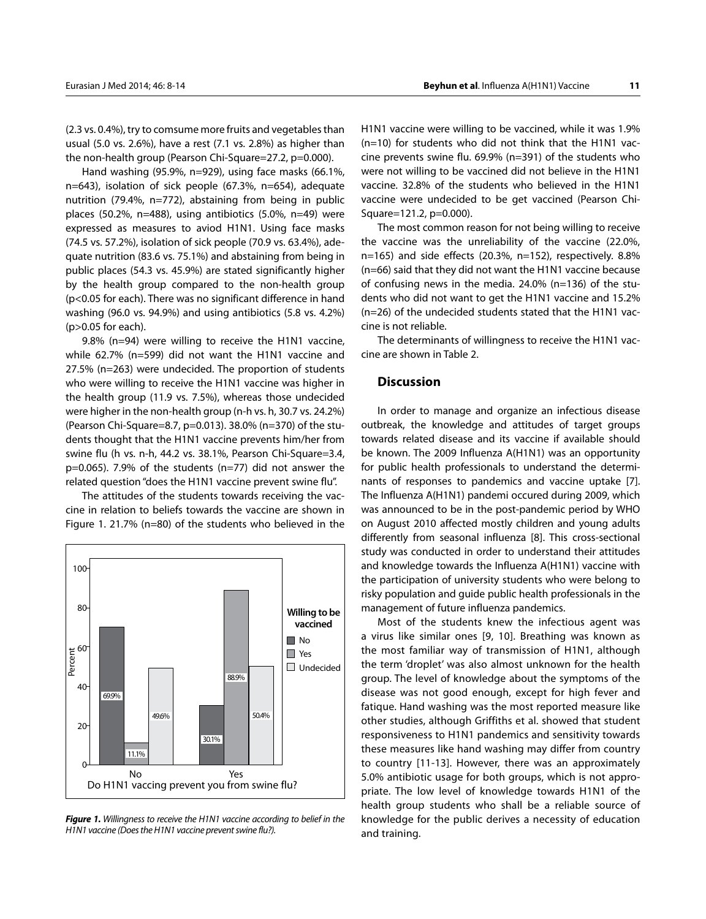the non-health group (Pearson Chi-Square=27.2, p=0.000). Hand washing (95.9%, n=929), using face masks (66.1%, n=643), isolation of sick people (67.3%, n=654), adequate nutrition (79.4%, n=772), abstaining from being in public places (50.2%, n=488), using antibiotics (5.0%, n=49) were expressed as measures to aviod H1N1. Using face masks (74.5 vs. 57.2%), isolation of sick people (70.9 vs. 63.4%), adequate nutrition (83.6 vs. 75.1%) and abstaining from being in public places (54.3 vs. 45.9%) are stated significantly higher by the health group compared to the non-health group (p<0.05 for each). There was no significant difference in hand washing (96.0 vs. 94.9%) and using antibiotics (5.8 vs. 4.2%) (p>0.05 for each).

9.8% (n=94) were willing to receive the H1N1 vaccine, while 62.7% (n=599) did not want the H1N1 vaccine and 27.5% (n=263) were undecided. The proportion of students who were willing to receive the H1N1 vaccine was higher in the health group (11.9 vs. 7.5%), whereas those undecided were higher in the non-health group (n-h vs. h, 30.7 vs. 24.2%) (Pearson Chi-Square=8.7, p=0.013). 38.0% (n=370) of the students thought that the H1N1 vaccine prevents him/her from swine flu (h vs. n-h, 44.2 vs. 38.1%, Pearson Chi-Square=3.4, p=0.065). 7.9% of the students (n=77) did not answer the related question "does the H1N1 vaccine prevent swine flu".

The attitudes of the students towards receiving the vaccine in relation to beliefs towards the vaccine are shown in Figure 1. 21.7% (n=80) of the students who believed in the



*Figure 1. Willingness to receive the H1N1 vaccine according to belief in the H1N1 vaccine (Does the H1N1 vaccine prevent swine flu?).*

H1N1 vaccine were willing to be vaccined, while it was 1.9% (n=10) for students who did not think that the H1N1 vaccine prevents swine flu. 69.9% (n=391) of the students who were not willing to be vaccined did not believe in the H1N1 vaccine. 32.8% of the students who believed in the H1N1 vaccine were undecided to be get vaccined (Pearson Chi-Square=121.2, p=0.000).

The most common reason for not being willing to receive the vaccine was the unreliability of the vaccine (22.0%, n=165) and side effects (20.3%, n=152), respectively. 8.8% (n=66) said that they did not want the H1N1 vaccine because of confusing news in the media. 24.0% (n=136) of the students who did not want to get the H1N1 vaccine and 15.2% (n=26) of the undecided students stated that the H1N1 vaccine is not reliable.

The determinants of willingness to receive the H1N1 vaccine are shown in Table 2.

# **Discussion**

In order to manage and organize an infectious disease outbreak, the knowledge and attitudes of target groups towards related disease and its vaccine if available should be known. The 2009 Influenza A(H1N1) was an opportunity for public health professionals to understand the determinants of responses to pandemics and vaccine uptake [7]. The Influenza A(H1N1) pandemi occured during 2009, which was announced to be in the post-pandemic period by WHO on August 2010 affected mostly children and young adults differently from seasonal influenza [8]. This cross-sectional study was conducted in order to understand their attitudes and knowledge towards the Influenza A(H1N1) vaccine with the participation of university students who were belong to risky population and guide public health professionals in the management of future influenza pandemics.

Most of the students knew the infectious agent was a virus like similar ones [9, 10]. Breathing was known as the most familiar way of transmission of H1N1, although the term 'droplet' was also almost unknown for the health group. The level of knowledge about the symptoms of the disease was not good enough, except for high fever and fatique. Hand washing was the most reported measure like other studies, although Griffiths et al. showed that student responsiveness to H1N1 pandemics and sensitivity towards these measures like hand washing may differ from country to country [11-13]. However, there was an approximately 5.0% antibiotic usage for both groups, which is not appropriate. The low level of knowledge towards H1N1 of the health group students who shall be a reliable source of knowledge for the public derives a necessity of education and training.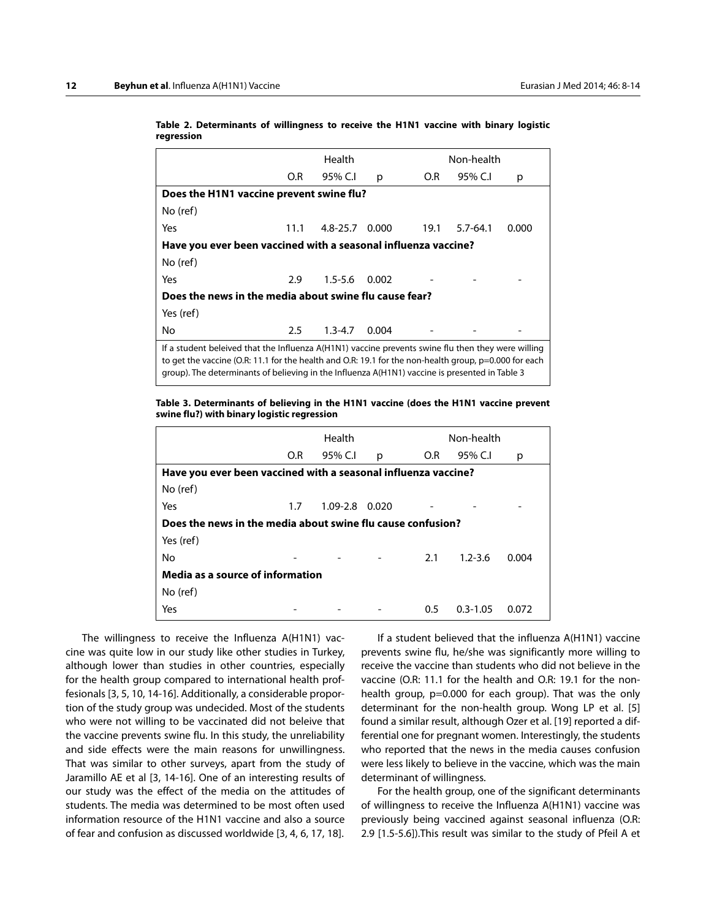|                                                                                                                                                                                                                                                                                                               |         | Health         |       |      | Non-health   |       |  |  |
|---------------------------------------------------------------------------------------------------------------------------------------------------------------------------------------------------------------------------------------------------------------------------------------------------------------|---------|----------------|-------|------|--------------|-------|--|--|
|                                                                                                                                                                                                                                                                                                               | O.R     | 95% C.I        | p     | O.R  | 95% C.I      | р     |  |  |
| Does the H1N1 vaccine prevent swine flu?                                                                                                                                                                                                                                                                      |         |                |       |      |              |       |  |  |
| No (ref)                                                                                                                                                                                                                                                                                                      |         |                |       |      |              |       |  |  |
| Yes                                                                                                                                                                                                                                                                                                           | 11.1    | 4.8-25.7 0.000 |       | 19.1 | $5.7 - 64.1$ | 0.000 |  |  |
| Have you ever been vaccined with a seasonal influenza vaccine?                                                                                                                                                                                                                                                |         |                |       |      |              |       |  |  |
| No (ref)                                                                                                                                                                                                                                                                                                      |         |                |       |      |              |       |  |  |
| Yes                                                                                                                                                                                                                                                                                                           | 2.9     | $1.5 - 5.6$    | 0.002 |      |              |       |  |  |
| Does the news in the media about swine flu cause fear?                                                                                                                                                                                                                                                        |         |                |       |      |              |       |  |  |
| Yes (ref)                                                                                                                                                                                                                                                                                                     |         |                |       |      |              |       |  |  |
| No                                                                                                                                                                                                                                                                                                            | $2.5\,$ | $1.3 - 4.7$    | 0.004 |      |              |       |  |  |
| If a student beleived that the Influenza A(H1N1) vaccine prevents swine flu then they were willing<br>to get the vaccine (O.R: 11.1 for the health and O.R: 19.1 for the non-health group, p=0.000 for each<br>group). The determinants of believing in the Influenza A(H1N1) vaccine is presented in Table 3 |         |                |       |      |              |       |  |  |

**Table 2. Determinants of willingness to receive the H1N1 vaccine with binary logistic regression**

#### **Table 3. Determinants of believing in the H1N1 vaccine (does the H1N1 vaccine prevent swine flu?) with binary logistic regression**

|                                                                | Health |                |   |     | Non-health   |       |  |
|----------------------------------------------------------------|--------|----------------|---|-----|--------------|-------|--|
|                                                                | O.R    | 95% C.I        | p | O.R | 95% C.I      | р     |  |
| Have you ever been vaccined with a seasonal influenza vaccine? |        |                |   |     |              |       |  |
| No (ref)                                                       |        |                |   |     |              |       |  |
| Yes                                                            | 1.7    | 1.09-2.8 0.020 |   |     |              |       |  |
| Does the news in the media about swine flu cause confusion?    |        |                |   |     |              |       |  |
| Yes (ref)                                                      |        |                |   |     |              |       |  |
| No                                                             |        |                |   | 2.1 | $1.2 - 3.6$  | 0.004 |  |
| Media as a source of information                               |        |                |   |     |              |       |  |
| No (ref)                                                       |        |                |   |     |              |       |  |
| Yes                                                            |        |                |   | 0.5 | $0.3 - 1.05$ | 0.072 |  |

The willingness to receive the Influenza A(H1N1) vaccine was quite low in our study like other studies in Turkey, although lower than studies in other countries, especially for the health group compared to international health proffesionals [3, 5, 10, 14-16]. Additionally, a considerable proportion of the study group was undecided. Most of the students who were not willing to be vaccinated did not beleive that the vaccine prevents swine flu. In this study, the unreliability and side effects were the main reasons for unwillingness. That was similar to other surveys, apart from the study of Jaramillo AE et al [3, 14-16]. One of an interesting results of our study was the effect of the media on the attitudes of students. The media was determined to be most often used information resource of the H1N1 vaccine and also a source of fear and confusion as discussed worldwide [3, 4, 6, 17, 18].

If a student believed that the influenza A(H1N1) vaccine prevents swine flu, he/she was significantly more willing to receive the vaccine than students who did not believe in the vaccine (O.R: 11.1 for the health and O.R: 19.1 for the nonhealth group, p=0.000 for each group). That was the only determinant for the non-health group. Wong LP et al. [5] found a similar result, although Ozer et al. [19] reported a differential one for pregnant women. Interestingly, the students who reported that the news in the media causes confusion were less likely to believe in the vaccine, which was the main determinant of willingness.

For the health group, one of the significant determinants of willingness to receive the Influenza A(H1N1) vaccine was previously being vaccined against seasonal influenza (O.R: 2.9 [1.5-5.6]).This result was similar to the study of Pfeil A et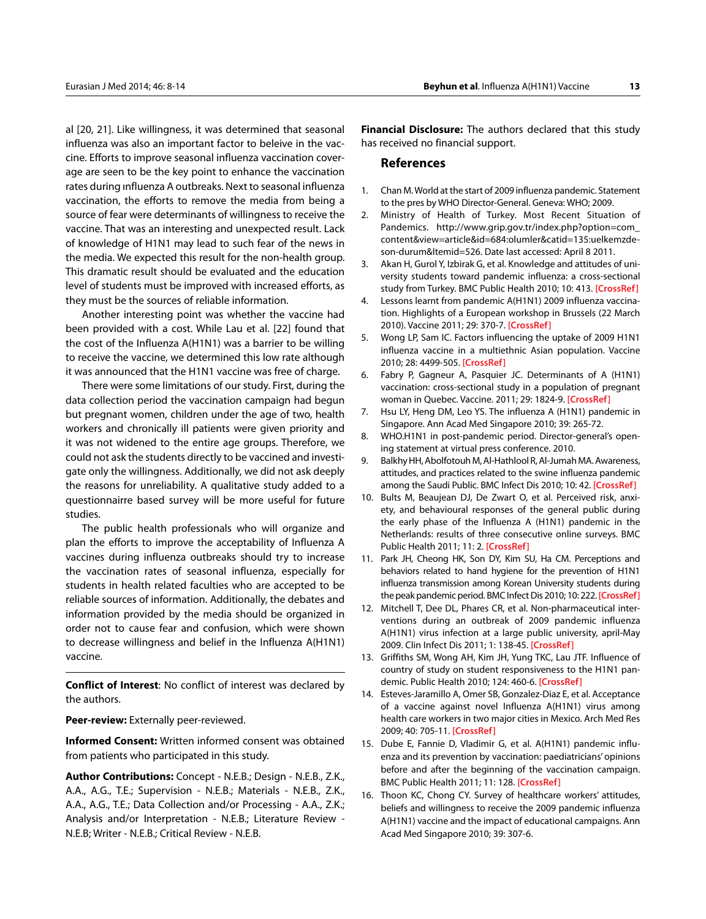al [20, 21]. Like willingness, it was determined that seasonal influenza was also an important factor to beleive in the vaccine. Efforts to improve seasonal influenza vaccination coverage are seen to be the key point to enhance the vaccination rates during ınfluenza A outbreaks. Next to seasonal influenza vaccination, the efforts to remove the media from being a source of fear were determinants of willingness to receive the vaccine. That was an interesting and unexpected result. Lack of knowledge of H1N1 may lead to such fear of the news in the media. We expected this result for the non-health group. This dramatic result should be evaluated and the education level of students must be improved with increased efforts, as they must be the sources of reliable information.

Another interesting point was whether the vaccine had been provided with a cost. While Lau et al. [22] found that the cost of the Influenza A(H1N1) was a barrier to be willing to receive the vaccine, we determined this low rate although it was announced that the H1N1 vaccine was free of charge.

There were some limitations of our study. First, during the data collection period the vaccination campaign had begun but pregnant women, children under the age of two, health workers and chronically ill patients were given priority and it was not widened to the entire age groups. Therefore, we could not ask the students directly to be vaccined and investigate only the willingness. Additionally, we did not ask deeply the reasons for unreliability. A qualitative study added to a questionnairre based survey will be more useful for future studies.

The public health professionals who will organize and plan the efforts to improve the acceptability of Influenza A vaccines during influenza outbreaks should try to increase the vaccination rates of seasonal influenza, especially for students in health related faculties who are accepted to be reliable sources of information. Additionally, the debates and information provided by the media should be organized in order not to cause fear and confusion, which were shown to decrease willingness and belief in the Influenza A(H1N1) vaccine.

**Conflict of Interest**: No conflict of interest was declared by the authors.

**Peer-review:** Externally peer-reviewed.

**Informed Consent:** Written informed consent was obtained from patients who participated in this study.

**Author Contributions:** Concept - N.E.B.; Design - N.E.B., Z.K., A.A., A.G., T.E.; Supervision - N.E.B.; Materials - N.E.B., Z.K., A.A., A.G., T.E.; Data Collection and/or Processing - A.A., Z.K.; Analysis and/or Interpretation - N.E.B.; Literature Review - N.E.B; Writer - N.E.B.; Critical Review - N.E.B.

**Financial Disclosure:** The authors declared that this study has received no financial support.

# **References**

- 1. Chan M. World at the start of 2009 influenza pandemic. Statement to the pres by WHO Director-General. Geneva: WHO; 2009.
- 2. Ministry of Health of Turkey. Most Recent Situation of Pandemics. [http://www.grip.gov.tr/index.php?option=com\\_](http://www.grip.gov.tr/index.php?option=com_content&view=article&id=684:olumler&catid=135:uelkemzde-son-durum&Itemid=526) [content&view=article&id=684:olumler&catid=135:uelkemzde](http://www.grip.gov.tr/index.php?option=com_content&view=article&id=684:olumler&catid=135:uelkemzde-son-durum&Itemid=526)[son-durum&Itemid=526.](http://www.grip.gov.tr/index.php?option=com_content&view=article&id=684:olumler&catid=135:uelkemzde-son-durum&Itemid=526) Date last accessed: April 8 2011.
- 3. Akan H, Gurol Y, Izbirak G, et al. Knowledge and attitudes of university students toward pandemic influenza: a cross-sectional study from Turkey. BMC Public Health 2010; 10: 413. **[\[CrossRef\]](http://dx.doi.org/10.1186/1471-2458-10-413)**
- 4. Lessons learnt from pandemic A(H1N1) 2009 influenza vaccination. Highlights of a European workshop in Brussels (22 March 2010). Vaccine 2011; 29: 370-7. **[\[CrossRef\]](http://dx.doi.org/10.1016/j.vaccine.2010.10.079)**
- 5. Wong LP, Sam IC. Factors influencing the uptake of 2009 H1N1 influenza vaccine in a multiethnic Asian population. Vaccine 2010; 28: 4499-505. **[[CrossRef]( http://dx.doi.org/10.1016/j.vaccine.2010.04.043 )]**
- 6. Fabry P, Gagneur A, Pasquier JC. Determinants of A (H1N1) vaccination: cross-sectional study in a population of pregnant woman in Quebec. Vaccine. 2011; 29: 1824-9. **[\[CrossRef\]](http://dx.doi.org/10.1016/j.vaccine.2010.12.109)**
- 7. Hsu LY, Heng DM, Leo YS. The influenza A (H1N1) pandemic in Singapore. Ann Acad Med Singapore 2010; 39: 265-72.
- 8. WHO.H1N1 in post-pandemic period. Director-general's opening statement at virtual press conference. 2010.
- 9. Balkhy HH, Abolfotouh M, Al-Hathlool R, Al-Jumah MA. Awareness, attitudes, and practices related to the swine influenza pandemic among the Saudi Public. BMC Infect Dis 2010; 10: 42. **[[CrossRef](http://dx.doi.org/10.1186/1471-2334-10-42)]**
- 10. Bults M, Beaujean DJ, De Zwart O, et al. Perceived risk, anxiety, and behavioural responses of the general public during the early phase of the Influenza A (H1N1) pandemic in the Netherlands: results of three consecutive online surveys. BMC Public Health 2011; 11: 2. **[\[CrossRef\]](http://dx.doi.org/10.1186/1471-2458-11-2)**
- 11. Park JH, Cheong HK, Son DY, Kim SU, Ha CM. Perceptions and behaviors related to hand hygiene for the prevention of H1N1 influenza transmission among Korean University students during the peak pandemic period. BMC Infect Dis 2010; 10: 222. **[\[CrossRef](http://dx.doi.org/10.1186/1471-2334-10-222)]**
- 12. Mitchell T, Dee DL, Phares CR, et al. Non-pharmaceutical interventions during an outbreak of 2009 pandemic influenza A(H1N1) virus infection at a large public university, april-May 2009. Clin Infect Dis 2011; 1: 138-45. **[[CrossRef](http://dx.doi.org/10.1093/cid/ciq056)]**
- 13. Griffiths SM, Wong AH, Kim JH, Yung TKC, Lau JTF. Influence of country of study on student responsiveness to the H1N1 pandemic. Public Health 2010; 124: 460-6. **[[CrossRef](http://dx.doi.org/10.1016/j.puhe.2010.03.027)]**
- 14. Esteves-Jaramillo A, Omer SB, Gonzalez-Diaz E, et al. Acceptance of a vaccine against novel Influenza A(H1N1) virus among health care workers in two major cities in Mexico. Arch Med Res 2009; 40: 705-11. **[\[CrossRef\]](http://dx.doi.org/10.1016/j.arcmed.2010.01.004)**
- 15. Dube E, Fannie D, Vladimir G, et al. A(H1N1) pandemic influenza and its prevention by vaccination: paediatricians' opinions before and after the beginning of the vaccination campaign. BMC Public Health 2011; 11: 128. **[\[CrossRef\]](http://dx.doi.org/10.1186/1471-2458-11-128)**
- 16. Thoon KC, Chong CY. Survey of healthcare workers' attitudes, beliefs and willingness to receive the 2009 pandemic influenza A(H1N1) vaccine and the impact of educational campaigns. Ann Acad Med Singapore 2010; 39: 307-6.